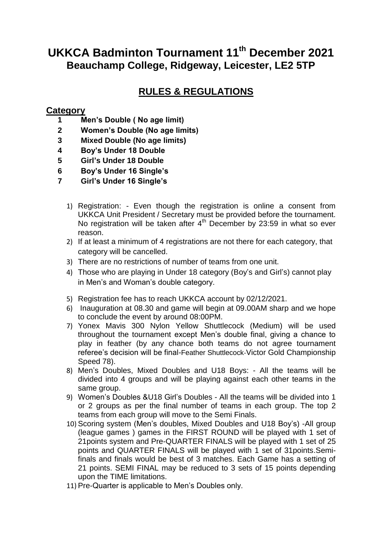## **UKKCA Badminton Tournament 11th December 2021 Beauchamp College, Ridgeway, Leicester, LE2 5TP**

## **RULES & REGULATIONS**

## **Category**

- **1 Men's Double ( No age limit)**
- **2 Women's Double (No age limits)**
- **3 Mixed Double (No age limits)**
- **4 Boy's Under 18 Double**
- **5 Girl's Under 18 Double**
- **6 Boy's Under 16 Single's**
- **7 Girl's Under 16 Single's**
	- 1) Registration: Even though the registration is online a consent from UKKCA Unit President / Secretary must be provided before the tournament. No registration will be taken after  $4<sup>th</sup>$  December by 23:59 in what so ever reason.
	- 2) If at least a minimum of 4 registrations are not there for each category, that category will be cancelled.
	- 3) There are no restrictions of number of teams from one unit.
	- 4) Those who are playing in Under 18 category (Boy"s and Girl"s) cannot play in Men"s and Woman"s double category.
	- 5) Registration fee has to reach UKKCA account by 02/12/2021.
	- 6) Inauguration at 08.30 and game will begin at 09.00AM sharp and we hope to conclude the event by around 08:00PM.
	- 7) Yonex Mavis 300 Nylon Yellow Shuttlecock (Medium) will be used throughout the tournament except Men"s double final, giving a chance to play in feather (by any chance both teams do not agree tournament referee"s decision will be final-Feather Shuttlecock-Victor Gold Championship Speed 78).
	- 8) Men"s Doubles, Mixed Doubles and U18 Boys: All the teams will be divided into 4 groups and will be playing against each other teams in the same group.
	- 9) Women"s Doubles &U18 Girl"s Doubles All the teams will be divided into 1 or 2 groups as per the final number of teams in each group. The top 2 teams from each group will move to the Semi Finals.
	- 10) Scoring system (Men"s doubles, Mixed Doubles and U18 Boy"s) -All group (league games ) games in the FIRST ROUND will be played with 1 set of 21points system and Pre-QUARTER FINALS will be played with 1 set of 25 points and QUARTER FINALS will be played with 1 set of 31points.Semifinals and finals would be best of 3 matches. Each Game has a setting of 21 points. SEMI FINAL may be reduced to 3 sets of 15 points depending upon the TIME limitations.
	- 11) Pre-Quarter is applicable to Men"s Doubles only.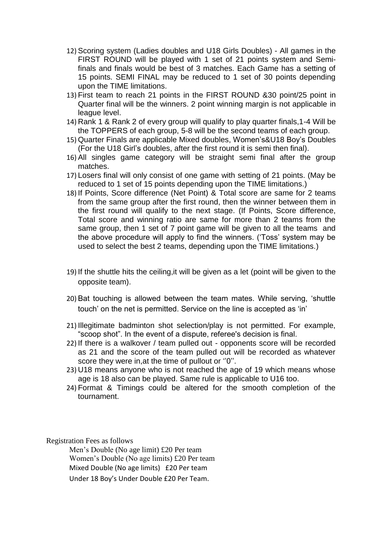- 12) Scoring system (Ladies doubles and U18 Girls Doubles) All games in the FIRST ROUND will be played with 1 set of 21 points system and Semifinals and finals would be best of 3 matches. Each Game has a setting of 15 points. SEMI FINAL may be reduced to 1 set of 30 points depending upon the TIME limitations.
- 13) First team to reach 21 points in the FIRST ROUND &30 point/25 point in Quarter final will be the winners. 2 point winning margin is not applicable in league level.
- 14) Rank 1 & Rank 2 of every group will qualify to play quarter finals,1-4 Will be the TOPPERS of each group, 5-8 will be the second teams of each group.
- 15) Quarter Finals are applicable Mixed doubles, Women"s&U18 Boy"s Doubles (For the U18 Girl"s doubles, after the first round it is semi then final).
- 16) All singles game category will be straight semi final after the group matches.
- 17) Losers final will only consist of one game with setting of 21 points. (May be reduced to 1 set of 15 points depending upon the TIME limitations.)
- 18) If Points, Score difference (Net Point) & Total score are same for 2 teams from the same group after the first round, then the winner between them in the first round will qualify to the next stage. (If Points, Score difference, Total score and winning ratio are same for more than 2 teams from the same group, then 1 set of 7 point game will be given to all the teams and the above procedure will apply to find the winners. ("Toss" system may be used to select the best 2 teams, depending upon the TIME limitations.)
- 19) If the shuttle hits the ceiling,it will be given as a let (point will be given to the opposite team).
- 20) Bat touching is allowed between the team mates. While serving, "shuttle touch' on the net is permitted. Service on the line is accepted as 'in'
- 21) Illegitimate badminton shot selection/play is not permitted. For example, "scoop shot". In the event of a dispute, referee's decision is final.
- 22) If there is a walkover / team pulled out opponents score will be recorded as 21 and the score of the team pulled out will be recorded as whatever score they were in, at the time of pullout or "0".
- 23) U18 means anyone who is not reached the age of 19 which means whose age is 18 also can be played. Same rule is applicable to U16 too.
- 24) Format & Timings could be altered for the smooth completion of the tournament.

Registration Fees as follows

Men's Double (No age limit) £20 Per team Women's Double (No age limits) £20 Per team Mixed Double (No age limits) £20 Per team Under 18 Boy's Under Double £20 Per Team.